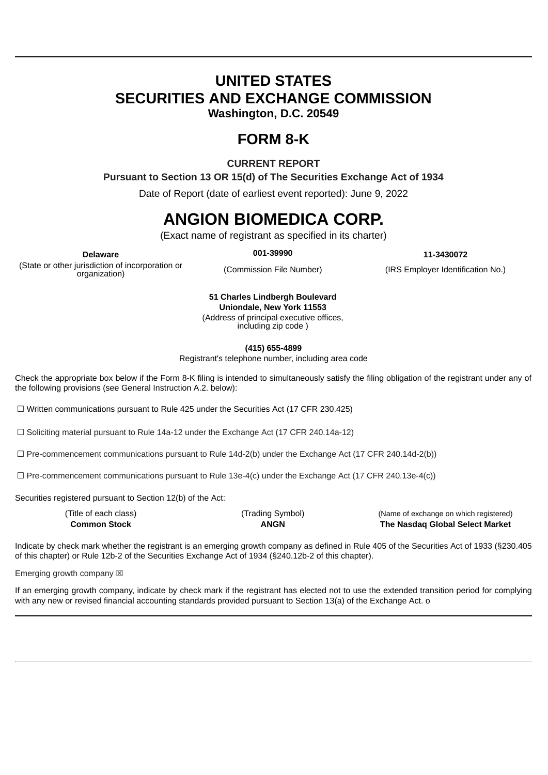# **UNITED STATES SECURITIES AND EXCHANGE COMMISSION**

**Washington, D.C. 20549**

### **FORM 8-K**

**CURRENT REPORT**

**Pursuant to Section 13 OR 15(d) of The Securities Exchange Act of 1934**

Date of Report (date of earliest event reported): June 9, 2022

## **ANGION BIOMEDICA CORP.**

(Exact name of registrant as specified in its charter)

(State or other jurisdiction of incorporation or organization)

**Delaware 001-39990 11-3430072**

(Commission File Number) (IRS Employer Identification No.)

**51 Charles Lindbergh Boulevard Uniondale, New York 11553** (Address of principal executive offices,

including zip code )

**(415) 655-4899**

Registrant's telephone number, including area code

Check the appropriate box below if the Form 8-K filing is intended to simultaneously satisfy the filing obligation of the registrant under any of the following provisions (see General Instruction A.2. below):

 $\Box$  Written communications pursuant to Rule 425 under the Securities Act (17 CFR 230.425)

☐ Soliciting material pursuant to Rule 14a-12 under the Exchange Act (17 CFR 240.14a-12)

 $\Box$  Pre-commencement communications pursuant to Rule 14d-2(b) under the Exchange Act (17 CFR 240.14d-2(b))

☐ Pre-commencement communications pursuant to Rule 13e-4(c) under the Exchange Act (17 CFR 240.13e-4(c))

Securities registered pursuant to Section 12(b) of the Act:

| (Title of each class) | (Trading Symbol) | (Name of exchange on which registered) |
|-----------------------|------------------|----------------------------------------|
| <b>Common Stock</b>   | <b>ANGN</b>      | The Nasdaq Global Select Market        |

Indicate by check mark whether the registrant is an emerging growth company as defined in Rule 405 of the Securities Act of 1933 (§230.405 of this chapter) or Rule 12b-2 of the Securities Exchange Act of 1934 (§240.12b-2 of this chapter).

Emerging growth company  $\boxtimes$ 

If an emerging growth company, indicate by check mark if the registrant has elected not to use the extended transition period for complying with any new or revised financial accounting standards provided pursuant to Section 13(a) of the Exchange Act. o